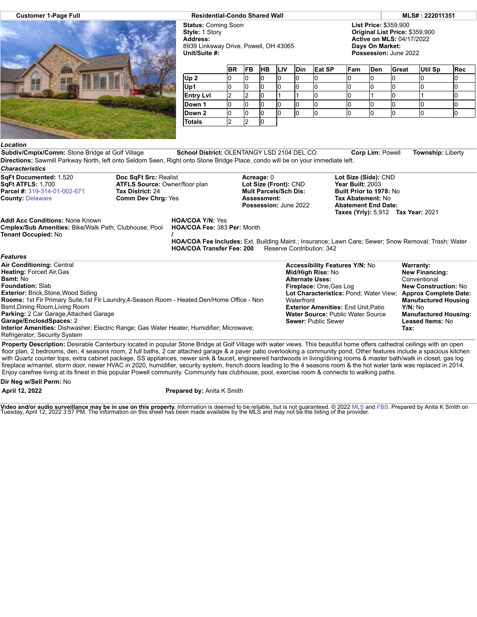

**Customer 1-Page Full Residential-Condo Shared Wall MLS# : 222011351**

**Status:** Coming Soon **Style:** 1 Story **Address:** 8939 Linksway Drive, Powell, OH 43065 **Unit/Suite #:**

**List Price:** \$359,900 **Original List Price:** \$359,900 **Active on MLS:** 04/17/2022 **Days On Market: Possession:** June 2022

**Tax:**

|                  | <b>BR</b> | <b>FB</b> | <b>HB</b> | <b>LIV</b> | <b>Din</b> | Eat SP | Fam | <b>Den</b> | Great | <b>Util Sp</b> | Rec |
|------------------|-----------|-----------|-----------|------------|------------|--------|-----|------------|-------|----------------|-----|
| Up <sub>2</sub>  | ש         |           | U         |            |            |        |     |            |       |                |     |
| Up1              | ש         | U         | U         |            |            |        |     |            |       |                |     |
| <b>Entry Lvl</b> |           |           | U         |            |            |        |     |            |       |                |     |
| Down 1           | IJ        | טו        | ιU        |            |            |        |     |            |       |                |     |
| Down 2           |           |           | u         |            |            |        |     |            |       |                |     |
| <b>Totals</b>    |           |           | ιU        |            |            |        |     |            |       |                |     |

## *Location*

**Subdiv/Cmplx/Comm:** Stone Bridge at Golf Village **School District:** OLENTANGY LSD 2104 DEL CO. **Corp Lim:** Powell **Township:** Liberty **Directions:** Sawmill Parkway North, left onto Seldom Seen, Right onto Stone Bridge Place, condo will be on your immediate left. *Characteristics*

**SqFt Documented:** 1,520 **SqFt ATFLS:** 1,700 **Parcel #:** [319-314-01-002-671](https://cr.flexmls.com/cgi-bin/mainmenu.cgi?cmd=srv+common/thirdparty/c3pi/populate.html&app=7d0939ae88fc42f8917cb9cd8bc644fc&listing=20220412173043163431000000&type=detail) **County:** [Delaware](http://www.columbusmls.net/tempoforward/forward.php?&county=Delaware&parcel=319-314-01-002-671) **Doc SqFt Src:** Realist **ATFLS Source:** Owner/floor plan **Tax District:** 24 **Comm Dev Chrg:** Yes **Acreage:** 0 **Lot Size (Front):** CND **Mult Parcels/Sch Dis: Assessment: Possession:** June 2022 **Lot Size (Side):** CND **Year Built:** 2003 **Built Prior to 1978:** No **Tax Abatement:** No **Abatement End Date: Taxes (Yrly):** 5,912 **Tax Year:** 2021 **Addl Acc Conditions:** None Known **Cmplex/Sub Amenities:** Bike/Walk Path; Clubhouse; Pool **Tenant Occupied:** No **HOA/COA Y/N:** Yes **HOA/COA Fee:** 383 **Per:** Month **/ HOA/COA Fee Includes:** Ext. Building Maint.; Insurance; Lawn Care; Sewer; Snow Removal; Trash; Water **HOA/COA Transfer Fee: 200** *Features* **Air Conditioning:** Central **Heating:** Forced Air,Gas **Bsmt:** No **Foundation:** Slab **Exterior:** Brick,Stone,Wood Siding **Rooms:** 1st Flr Primary Suite,1st Flr Laundry,4-Season Room - Heated,Den/Home Office - Non Bsmt,Dining Room,Living Room **Parking:** 2 Car Garage,Attached Garage **Garage/EnclosdSpaces:** 2 **Accessibility Features Y/N:** No **Mid/High Rise:** No **Alternate Uses: Fireplace:** One,Gas Log **Lot Characteristics:** Pond; Water View; **Waterfront Exterior Amenities:** End Unit,Patio **Water Source:** Public Water Source **Sewer:** Public Sewer **Warranty: New Financing: Conventional New Construction:** No **Approx Complete Date: Manufactured Housing Y/N:** No **Manufactured Housing: Leased Items:** No

**Interior Amenities:** Dishwasher; Electric Range; Gas Water Heater; Humidifier; Microwave;

Refrigerator; Security System

**Property Description:** Desirable Canterbury located in popular Stone Bridge at Golf Village with water views. This beautiful home offers cathedral ceilings with an open floor plan, 2 bedrooms, den, 4 seasons room, 2 full baths, 2 car attached garage & a paver patio overlooking a community pond. Other features include a spacious kitchen with Quartz counter tops, extra cabinet package, SS appliances, newer sink & faucet, engineered hardwoods in living/dining rooms & master bath/walk in closet, gas log fireplace w/mantel, storm door, newer HVAC in 2020, humidifier, security system, french doors leading to the 4 seasons room & the hot water tank was replaced in 2014. Enjoy carefree living at its finest in this popular Powell community. Community has clubhouse, pool, exercise room & connects to walking paths.

**Dir Neg w/Sell Perm:** No

**April 12, 2022 Prepared by:** Anita K Smith

**Video and/or audio surveillance may be in use on this property.** Information is deemed to be reliable, but is not guaranteed. © 2022 [MLS](http://www.columbusrealtors.com/) and [FBS](http://www.flexmls.com/copyright_notice.html?2). Prepared by Anita K Smith on<br>Tuesday, April 12, 2022 3:57 PM. The informati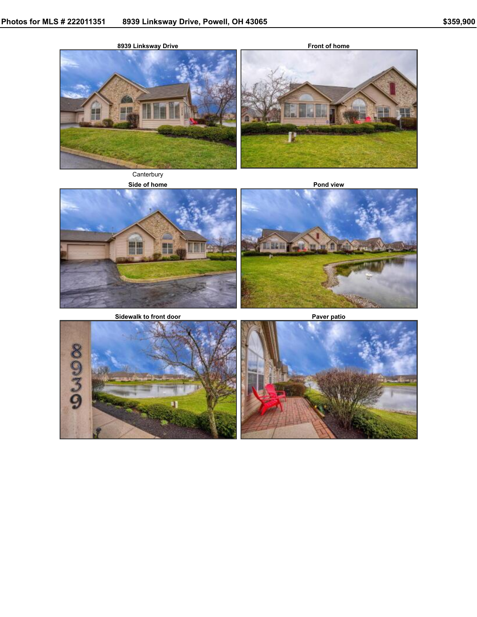

**Front of home**



**Canterbury** 





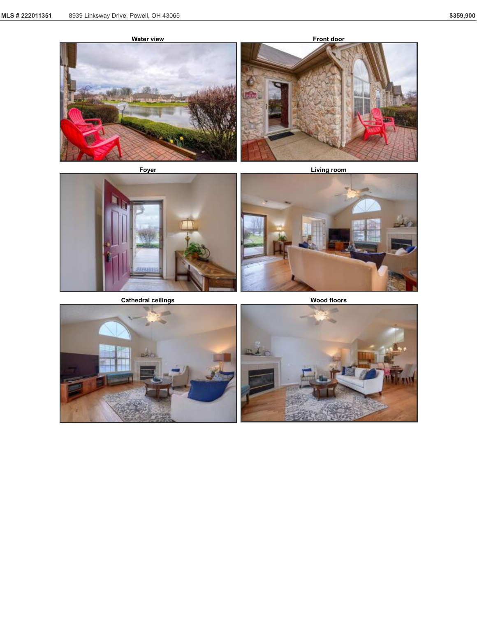





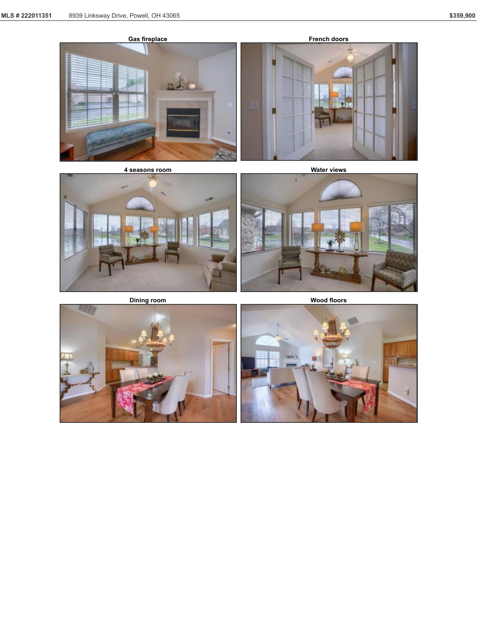





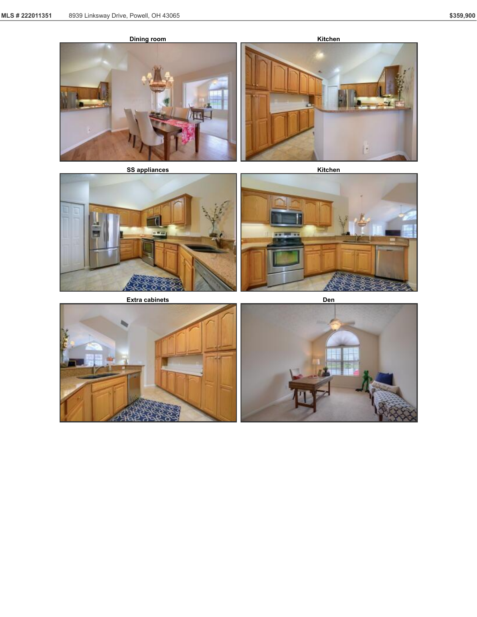











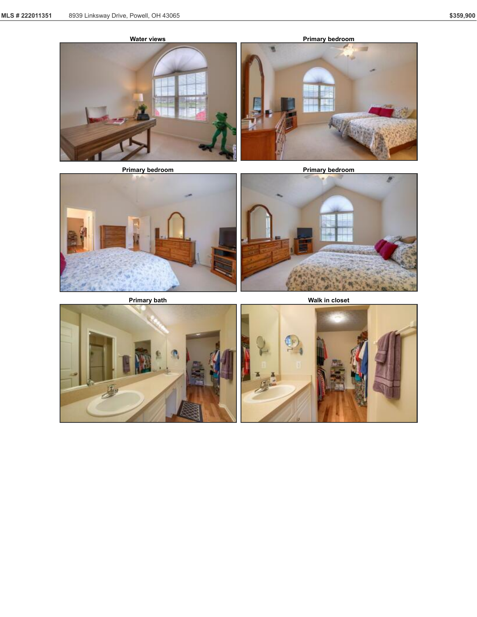





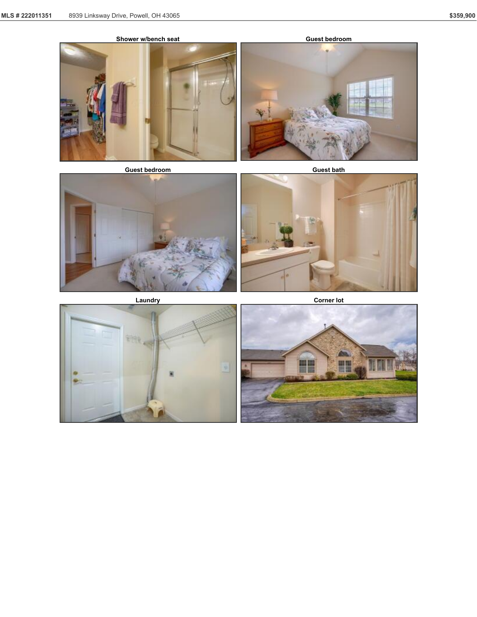



**Guest bedroom Guest bath**







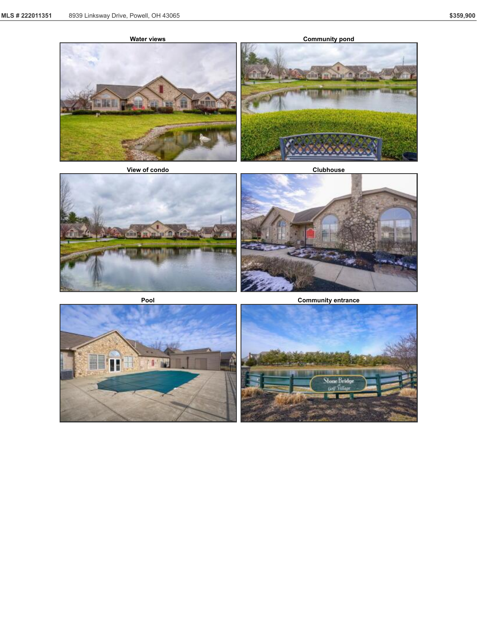



**Pool Community entrance**